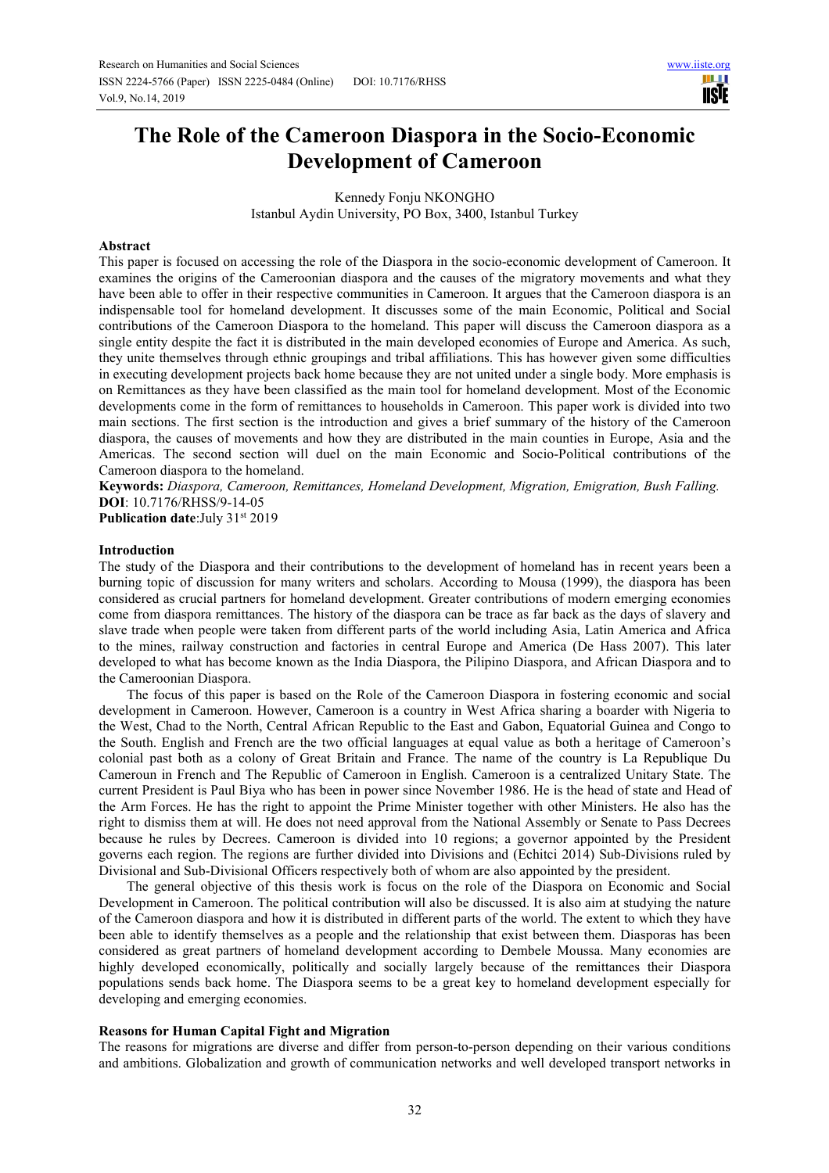# **The Role of the Cameroon Diaspora in the Socio-Economic Development of Cameroon**

Kennedy Fonju NKONGHO Istanbul Aydin University, PO Box, 3400, Istanbul Turkey

## **Abstract**

This paper is focused on accessing the role of the Diaspora in the socio-economic development of Cameroon. It examines the origins of the Cameroonian diaspora and the causes of the migratory movements and what they have been able to offer in their respective communities in Cameroon. It argues that the Cameroon diaspora is an indispensable tool for homeland development. It discusses some of the main Economic, Political and Social contributions of the Cameroon Diaspora to the homeland. This paper will discuss the Cameroon diaspora as a single entity despite the fact it is distributed in the main developed economies of Europe and America. As such, they unite themselves through ethnic groupings and tribal affiliations. This has however given some difficulties in executing development projects back home because they are not united under a single body. More emphasis is on Remittances as they have been classified as the main tool for homeland development. Most of the Economic developments come in the form of remittances to households in Cameroon. This paper work is divided into two main sections. The first section is the introduction and gives a brief summary of the history of the Cameroon diaspora, the causes of movements and how they are distributed in the main counties in Europe, Asia and the Americas. The second section will duel on the main Economic and Socio-Political contributions of the Cameroon diaspora to the homeland.

**Keywords:** *Diaspora, Cameroon, Remittances, Homeland Development, Migration, Emigration, Bush Falling.*  **DOI**: 10.7176/RHSS/9-14-05

**Publication date:**July 31<sup>st</sup> 2019

## **Introduction**

The study of the Diaspora and their contributions to the development of homeland has in recent years been a burning topic of discussion for many writers and scholars. According to Mousa (1999), the diaspora has been considered as crucial partners for homeland development. Greater contributions of modern emerging economies come from diaspora remittances. The history of the diaspora can be trace as far back as the days of slavery and slave trade when people were taken from different parts of the world including Asia, Latin America and Africa to the mines, railway construction and factories in central Europe and America (De Hass 2007). This later developed to what has become known as the India Diaspora, the Pilipino Diaspora, and African Diaspora and to the Cameroonian Diaspora.

The focus of this paper is based on the Role of the Cameroon Diaspora in fostering economic and social development in Cameroon. However, Cameroon is a country in West Africa sharing a boarder with Nigeria to the West, Chad to the North, Central African Republic to the East and Gabon, Equatorial Guinea and Congo to the South. English and French are the two official languages at equal value as both a heritage of Cameroon's colonial past both as a colony of Great Britain and France. The name of the country is La Republique Du Cameroun in French and The Republic of Cameroon in English. Cameroon is a centralized Unitary State. The current President is Paul Biya who has been in power since November 1986. He is the head of state and Head of the Arm Forces. He has the right to appoint the Prime Minister together with other Ministers. He also has the right to dismiss them at will. He does not need approval from the National Assembly or Senate to Pass Decrees because he rules by Decrees. Cameroon is divided into 10 regions; a governor appointed by the President governs each region. The regions are further divided into Divisions and (Echitci 2014) Sub-Divisions ruled by Divisional and Sub-Divisional Officers respectively both of whom are also appointed by the president.

The general objective of this thesis work is focus on the role of the Diaspora on Economic and Social Development in Cameroon. The political contribution will also be discussed. It is also aim at studying the nature of the Cameroon diaspora and how it is distributed in different parts of the world. The extent to which they have been able to identify themselves as a people and the relationship that exist between them. Diasporas has been considered as great partners of homeland development according to Dembele Moussa. Many economies are highly developed economically, politically and socially largely because of the remittances their Diaspora populations sends back home. The Diaspora seems to be a great key to homeland development especially for developing and emerging economies.

# **Reasons for Human Capital Fight and Migration**

The reasons for migrations are diverse and differ from person-to-person depending on their various conditions and ambitions. Globalization and growth of communication networks and well developed transport networks in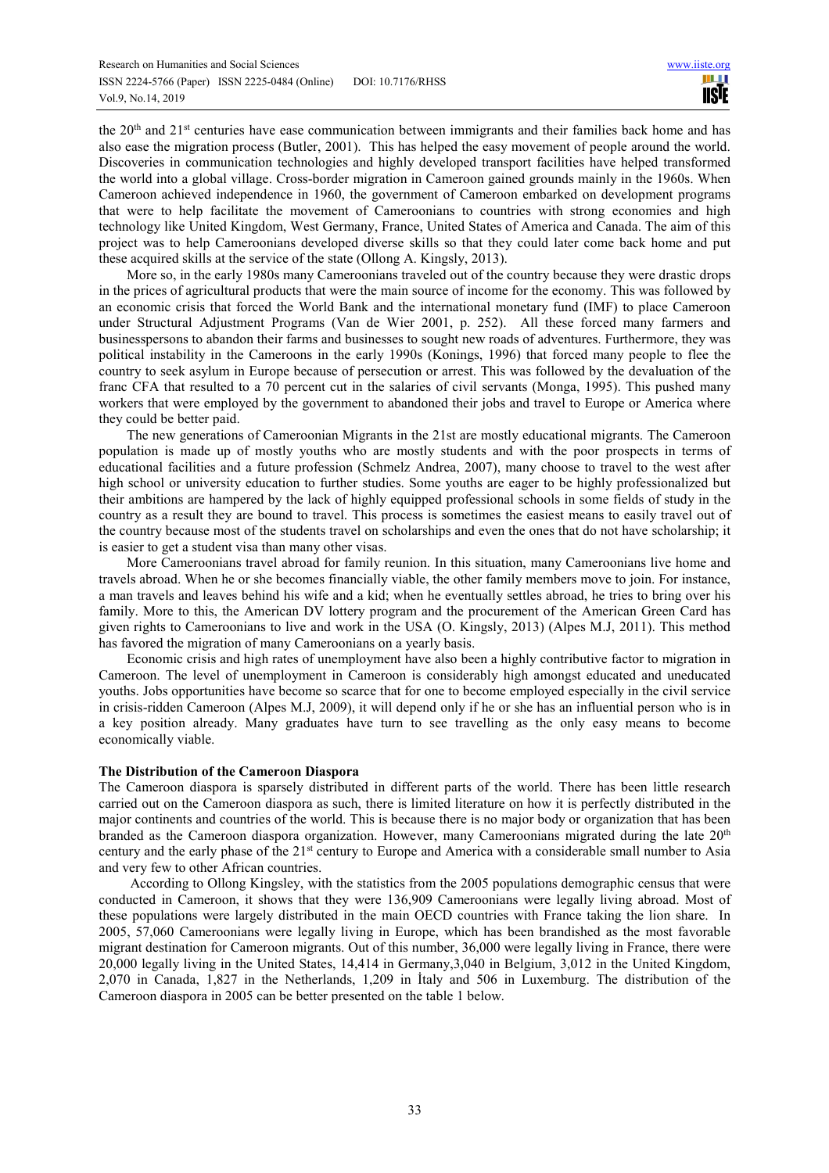the 20<sup>th</sup> and 21<sup>st</sup> centuries have ease communication between immigrants and their families back home and has also ease the migration process (Butler, 2001). This has helped the easy movement of people around the world. Discoveries in communication technologies and highly developed transport facilities have helped transformed the world into a global village. Cross-border migration in Cameroon gained grounds mainly in the 1960s. When Cameroon achieved independence in 1960, the government of Cameroon embarked on development programs that were to help facilitate the movement of Cameroonians to countries with strong economies and high technology like United Kingdom, West Germany, France, United States of America and Canada. The aim of this project was to help Cameroonians developed diverse skills so that they could later come back home and put these acquired skills at the service of the state (Ollong A. Kingsly, 2013).

More so, in the early 1980s many Cameroonians traveled out of the country because they were drastic drops in the prices of agricultural products that were the main source of income for the economy. This was followed by an economic crisis that forced the World Bank and the international monetary fund (IMF) to place Cameroon under Structural Adjustment Programs (Van de Wier 2001, p. 252). All these forced many farmers and businesspersons to abandon their farms and businesses to sought new roads of adventures. Furthermore, they was political instability in the Cameroons in the early 1990s (Konings, 1996) that forced many people to flee the country to seek asylum in Europe because of persecution or arrest. This was followed by the devaluation of the franc CFA that resulted to a 70 percent cut in the salaries of civil servants (Monga, 1995). This pushed many workers that were employed by the government to abandoned their jobs and travel to Europe or America where they could be better paid.

The new generations of Cameroonian Migrants in the 21st are mostly educational migrants. The Cameroon population is made up of mostly youths who are mostly students and with the poor prospects in terms of educational facilities and a future profession (Schmelz Andrea, 2007), many choose to travel to the west after high school or university education to further studies. Some youths are eager to be highly professionalized but their ambitions are hampered by the lack of highly equipped professional schools in some fields of study in the country as a result they are bound to travel. This process is sometimes the easiest means to easily travel out of the country because most of the students travel on scholarships and even the ones that do not have scholarship; it is easier to get a student visa than many other visas.

More Cameroonians travel abroad for family reunion. In this situation, many Cameroonians live home and travels abroad. When he or she becomes financially viable, the other family members move to join. For instance, a man travels and leaves behind his wife and a kid; when he eventually settles abroad, he tries to bring over his family. More to this, the American DV lottery program and the procurement of the American Green Card has given rights to Cameroonians to live and work in the USA (O. Kingsly, 2013) (Alpes M.J, 2011). This method has favored the migration of many Cameroonians on a yearly basis.

Economic crisis and high rates of unemployment have also been a highly contributive factor to migration in Cameroon. The level of unemployment in Cameroon is considerably high amongst educated and uneducated youths. Jobs opportunities have become so scarce that for one to become employed especially in the civil service in crisis-ridden Cameroon (Alpes M.J, 2009), it will depend only if he or she has an influential person who is in a key position already. Many graduates have turn to see travelling as the only easy means to become economically viable.

# **The Distribution of the Cameroon Diaspora**

The Cameroon diaspora is sparsely distributed in different parts of the world. There has been little research carried out on the Cameroon diaspora as such, there is limited literature on how it is perfectly distributed in the major continents and countries of the world. This is because there is no major body or organization that has been branded as the Cameroon diaspora organization. However, many Cameroonians migrated during the late 20th century and the early phase of the 21st century to Europe and America with a considerable small number to Asia and very few to other African countries.

 According to Ollong Kingsley, with the statistics from the 2005 populations demographic census that were conducted in Cameroon, it shows that they were 136,909 Cameroonians were legally living abroad. Most of these populations were largely distributed in the main OECD countries with France taking the lion share. In 2005, 57,060 Cameroonians were legally living in Europe, which has been brandished as the most favorable migrant destination for Cameroon migrants. Out of this number, 36,000 were legally living in France, there were 20,000 legally living in the United States, 14,414 in Germany,3,040 in Belgium, 3,012 in the United Kingdom, 2,070 in Canada, 1,827 in the Netherlands, 1,209 in İtaly and 506 in Luxemburg. The distribution of the Cameroon diaspora in 2005 can be better presented on the table 1 below.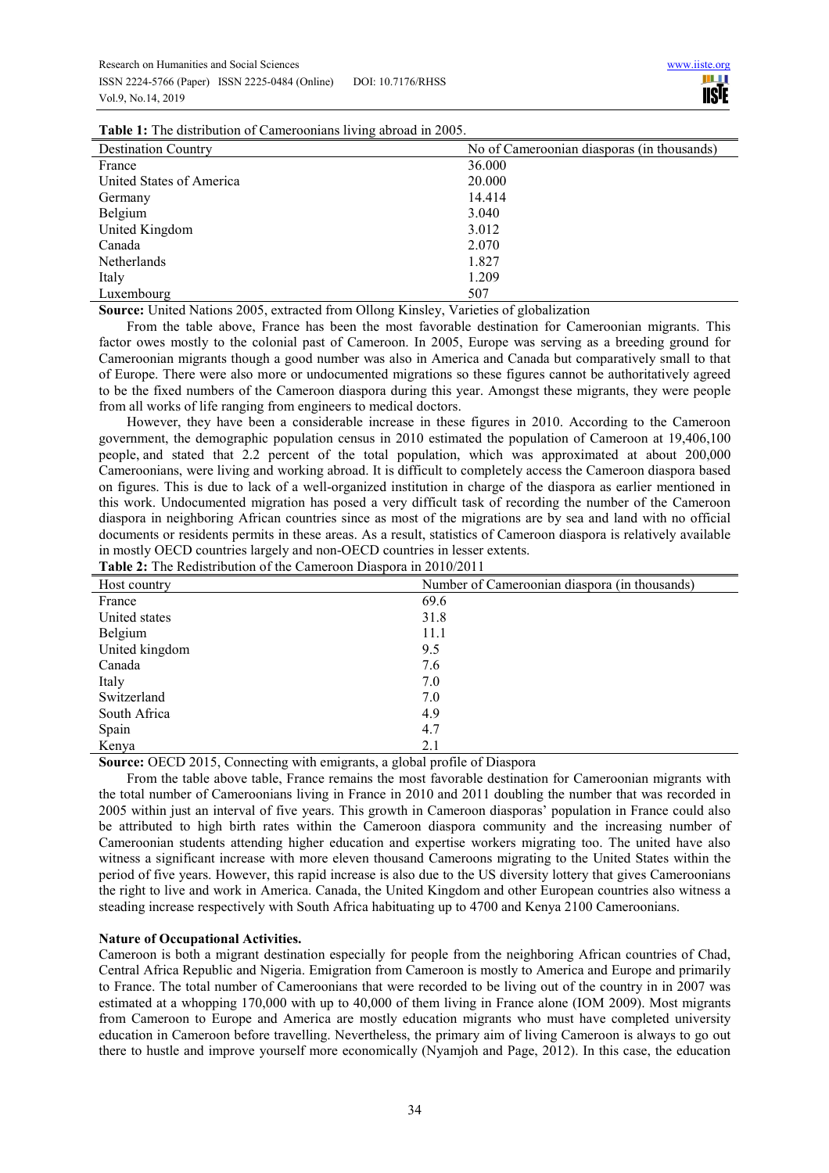| <b>Table 1:</b> The distribution of Cameroonians living abroad in 2005. |  |  |  |
|-------------------------------------------------------------------------|--|--|--|
|                                                                         |  |  |  |

| <b>Destination Country</b> | No of Cameroonian diasporas (in thousands) |  |  |  |
|----------------------------|--------------------------------------------|--|--|--|
| France                     | 36.000                                     |  |  |  |
| United States of America   | 20.000                                     |  |  |  |
| Germany                    | 14.414                                     |  |  |  |
| Belgium                    | 3.040                                      |  |  |  |
| United Kingdom             | 3.012                                      |  |  |  |
| Canada                     | 2.070                                      |  |  |  |
| Netherlands                | 1.827                                      |  |  |  |
| Italy                      | 1.209                                      |  |  |  |
| Luxembourg                 | 507                                        |  |  |  |

**Source:** United Nations 2005, extracted from Ollong Kinsley, Varieties of globalization

From the table above, France has been the most favorable destination for Cameroonian migrants. This factor owes mostly to the colonial past of Cameroon. In 2005, Europe was serving as a breeding ground for Cameroonian migrants though a good number was also in America and Canada but comparatively small to that of Europe. There were also more or undocumented migrations so these figures cannot be authoritatively agreed to be the fixed numbers of the Cameroon diaspora during this year. Amongst these migrants, they were people from all works of life ranging from engineers to medical doctors.

However, they have been a considerable increase in these figures in 2010. According to the Cameroon government, the demographic population census in 2010 estimated the population of Cameroon at 19,406,100 people, and stated that 2.2 percent of the total population, which was approximated at about 200,000 Cameroonians, were living and working abroad. It is difficult to completely access the Cameroon diaspora based on figures. This is due to lack of a well-organized institution in charge of the diaspora as earlier mentioned in this work. Undocumented migration has posed a very difficult task of recording the number of the Cameroon diaspora in neighboring African countries since as most of the migrations are by sea and land with no official documents or residents permits in these areas. As a result, statistics of Cameroon diaspora is relatively available in mostly OECD countries largely and non-OECD countries in lesser extents.

| <b>Table 2:</b> The Redistribution of the Cameroon Diaspora in 2010/2011 |  |  |
|--------------------------------------------------------------------------|--|--|
|--------------------------------------------------------------------------|--|--|

| Host country   | Number of Cameroonian diaspora (in thousands) |
|----------------|-----------------------------------------------|
| France         | 69.6                                          |
| United states  | 31.8                                          |
| Belgium        | 11.1                                          |
| United kingdom | 9.5                                           |
| Canada         | 7.6                                           |
| Italy          | 7.0                                           |
| Switzerland    | 7.0                                           |
| South Africa   | 4.9                                           |
| Spain          | 4.7                                           |
| Kenya          | 2.1                                           |

**Source:** OECD 2015, Connecting with emigrants, a global profile of Diaspora

From the table above table, France remains the most favorable destination for Cameroonian migrants with the total number of Cameroonians living in France in 2010 and 2011 doubling the number that was recorded in 2005 within just an interval of five years. This growth in Cameroon diasporas' population in France could also be attributed to high birth rates within the Cameroon diaspora community and the increasing number of Cameroonian students attending higher education and expertise workers migrating too. The united have also witness a significant increase with more eleven thousand Cameroons migrating to the United States within the period of five years. However, this rapid increase is also due to the US diversity lottery that gives Cameroonians the right to live and work in America. Canada, the United Kingdom and other European countries also witness a steading increase respectively with South Africa habituating up to 4700 and Kenya 2100 Cameroonians.

# **Nature of Occupational Activities.**

Cameroon is both a migrant destination especially for people from the neighboring African countries of Chad, Central Africa Republic and Nigeria. Emigration from Cameroon is mostly to America and Europe and primarily to France. The total number of Cameroonians that were recorded to be living out of the country in in 2007 was estimated at a whopping 170,000 with up to 40,000 of them living in France alone (IOM 2009). Most migrants from Cameroon to Europe and America are mostly education migrants who must have completed university education in Cameroon before travelling. Nevertheless, the primary aim of living Cameroon is always to go out there to hustle and improve yourself more economically (Nyamjoh and Page, 2012). In this case, the education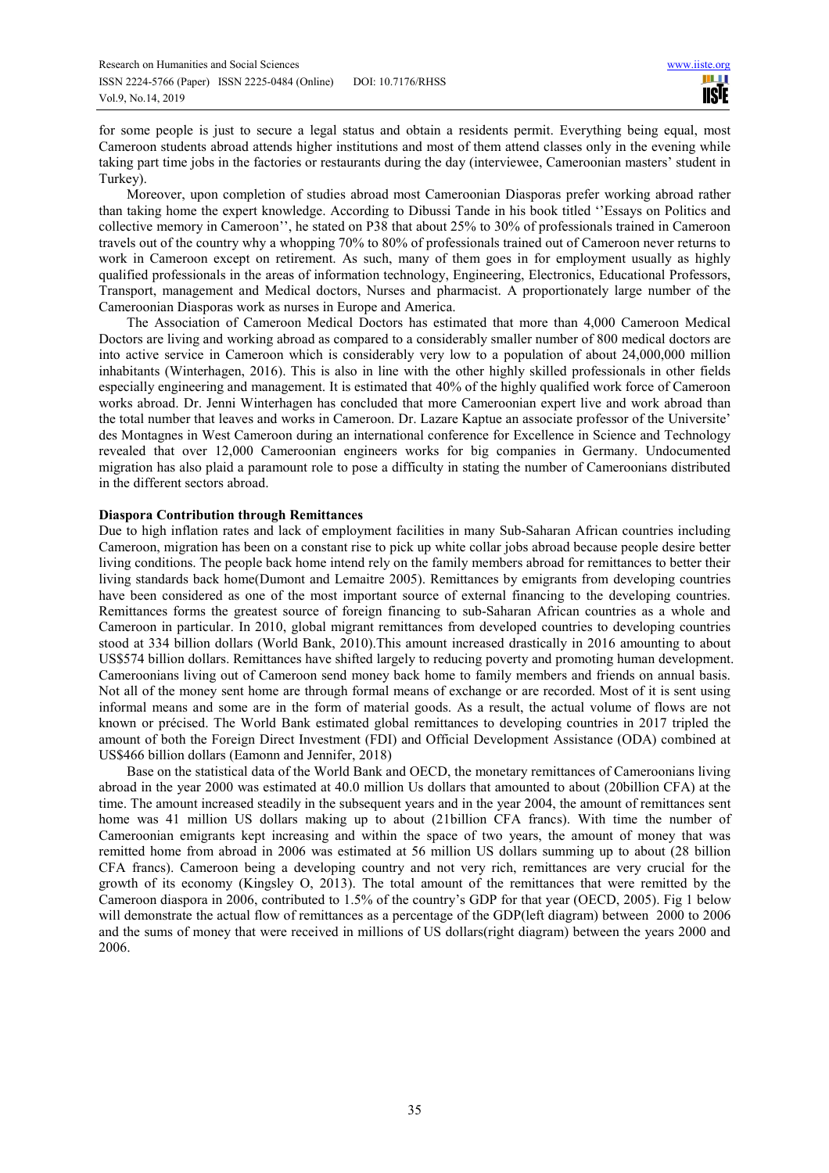for some people is just to secure a legal status and obtain a residents permit. Everything being equal, most Cameroon students abroad attends higher institutions and most of them attend classes only in the evening while taking part time jobs in the factories or restaurants during the day (interviewee, Cameroonian masters' student in Turkey).

Moreover, upon completion of studies abroad most Cameroonian Diasporas prefer working abroad rather than taking home the expert knowledge. According to Dibussi Tande in his book titled ''Essays on Politics and collective memory in Cameroon'', he stated on P38 that about 25% to 30% of professionals trained in Cameroon travels out of the country why a whopping 70% to 80% of professionals trained out of Cameroon never returns to work in Cameroon except on retirement. As such, many of them goes in for employment usually as highly qualified professionals in the areas of information technology, Engineering, Electronics, Educational Professors, Transport, management and Medical doctors, Nurses and pharmacist. A proportionately large number of the Cameroonian Diasporas work as nurses in Europe and America.

The Association of Cameroon Medical Doctors has estimated that more than 4,000 Cameroon Medical Doctors are living and working abroad as compared to a considerably smaller number of 800 medical doctors are into active service in Cameroon which is considerably very low to a population of about 24,000,000 million inhabitants (Winterhagen, 2016). This is also in line with the other highly skilled professionals in other fields especially engineering and management. It is estimated that 40% of the highly qualified work force of Cameroon works abroad. Dr. Jenni Winterhagen has concluded that more Cameroonian expert live and work abroad than the total number that leaves and works in Cameroon. Dr. Lazare Kaptue an associate professor of the Universite' des Montagnes in West Cameroon during an international conference for Excellence in Science and Technology revealed that over 12,000 Cameroonian engineers works for big companies in Germany. Undocumented migration has also plaid a paramount role to pose a difficulty in stating the number of Cameroonians distributed in the different sectors abroad.

## **Diaspora Contribution through Remittances**

Due to high inflation rates and lack of employment facilities in many Sub-Saharan African countries including Cameroon, migration has been on a constant rise to pick up white collar jobs abroad because people desire better living conditions. The people back home intend rely on the family members abroad for remittances to better their living standards back home(Dumont and Lemaitre 2005). Remittances by emigrants from developing countries have been considered as one of the most important source of external financing to the developing countries. Remittances forms the greatest source of foreign financing to sub-Saharan African countries as a whole and Cameroon in particular. In 2010, global migrant remittances from developed countries to developing countries stood at 334 billion dollars (World Bank, 2010).This amount increased drastically in 2016 amounting to about US\$574 billion dollars. Remittances have shifted largely to reducing poverty and promoting human development. Cameroonians living out of Cameroon send money back home to family members and friends on annual basis. Not all of the money sent home are through formal means of exchange or are recorded. Most of it is sent using informal means and some are in the form of material goods. As a result, the actual volume of flows are not known or précised. The World Bank estimated global remittances to developing countries in 2017 tripled the amount of both the Foreign Direct Investment (FDI) and Official Development Assistance (ODA) combined at US\$466 billion dollars (Eamonn and Jennifer, 2018)

Base on the statistical data of the World Bank and OECD, the monetary remittances of Cameroonians living abroad in the year 2000 was estimated at 40.0 million Us dollars that amounted to about (20billion CFA) at the time. The amount increased steadily in the subsequent years and in the year 2004, the amount of remittances sent home was 41 million US dollars making up to about (21billion CFA francs). With time the number of Cameroonian emigrants kept increasing and within the space of two years, the amount of money that was remitted home from abroad in 2006 was estimated at 56 million US dollars summing up to about (28 billion CFA francs). Cameroon being a developing country and not very rich, remittances are very crucial for the growth of its economy (Kingsley O, 2013). The total amount of the remittances that were remitted by the Cameroon diaspora in 2006, contributed to 1.5% of the country's GDP for that year (OECD, 2005). Fig 1 below will demonstrate the actual flow of remittances as a percentage of the GDP(left diagram) between 2000 to 2006 and the sums of money that were received in millions of US dollars(right diagram) between the years 2000 and 2006.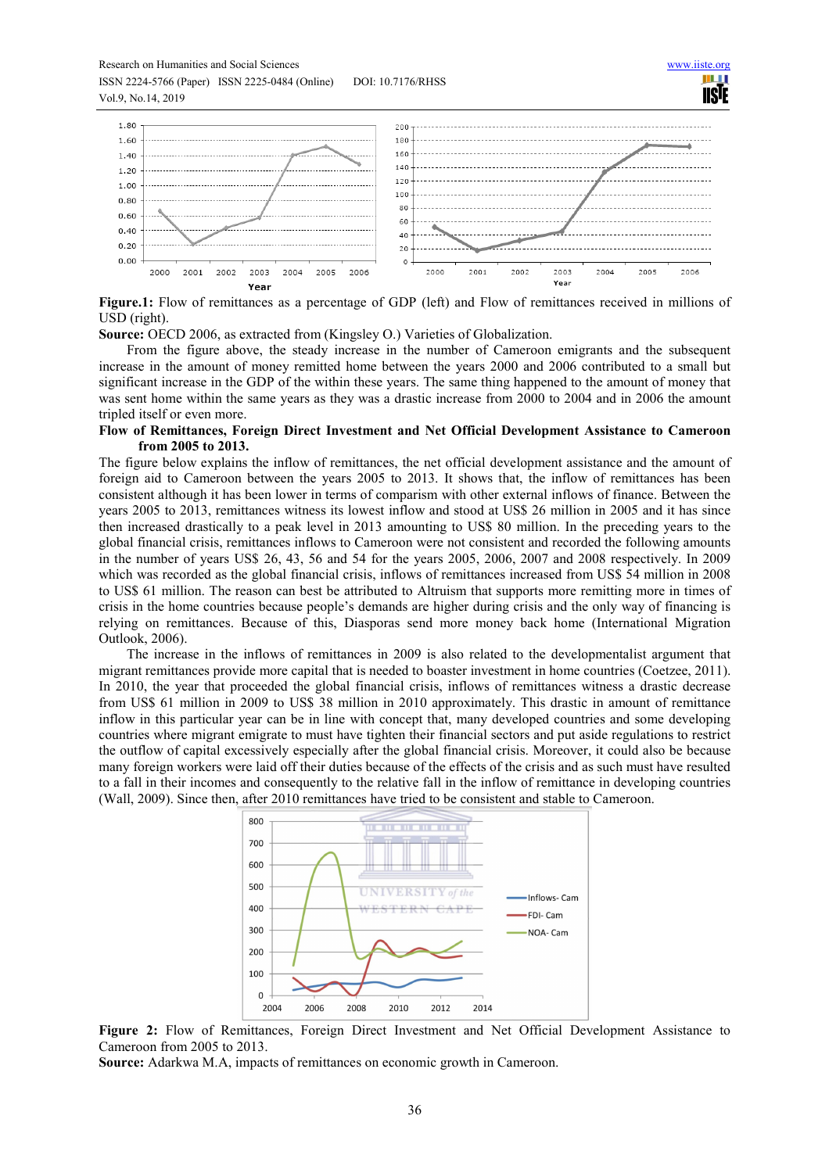Research on Humanities and Social Sciences www.iiste.org ISSN 2224-5766 (Paper) ISSN 2225-0484 (Online) DOI: 10.7176/RHSS

Vol.9, No.14, 2019

W **IISE** 



**Figure.1:** Flow of remittances as a percentage of GDP (left) and Flow of remittances received in millions of USD (right).

**Source:** OECD 2006, as extracted from (Kingsley O.) Varieties of Globalization.

From the figure above, the steady increase in the number of Cameroon emigrants and the subsequent increase in the amount of money remitted home between the years 2000 and 2006 contributed to a small but significant increase in the GDP of the within these years. The same thing happened to the amount of money that was sent home within the same years as they was a drastic increase from 2000 to 2004 and in 2006 the amount tripled itself or even more.

#### **Flow of Remittances, Foreign Direct Investment and Net Official Development Assistance to Cameroon from 2005 to 2013.**

The figure below explains the inflow of remittances, the net official development assistance and the amount of foreign aid to Cameroon between the years 2005 to 2013. It shows that, the inflow of remittances has been consistent although it has been lower in terms of comparism with other external inflows of finance. Between the years 2005 to 2013, remittances witness its lowest inflow and stood at US\$ 26 million in 2005 and it has since then increased drastically to a peak level in 2013 amounting to US\$ 80 million. In the preceding years to the global financial crisis, remittances inflows to Cameroon were not consistent and recorded the following amounts in the number of years US\$ 26, 43, 56 and 54 for the years 2005, 2006, 2007 and 2008 respectively. In 2009 which was recorded as the global financial crisis, inflows of remittances increased from US\$ 54 million in 2008 to US\$ 61 million. The reason can best be attributed to Altruism that supports more remitting more in times of crisis in the home countries because people's demands are higher during crisis and the only way of financing is relying on remittances. Because of this, Diasporas send more money back home (International Migration Outlook, 2006).

The increase in the inflows of remittances in 2009 is also related to the developmentalist argument that migrant remittances provide more capital that is needed to boaster investment in home countries (Coetzee, 2011). In 2010, the year that proceeded the global financial crisis, inflows of remittances witness a drastic decrease from US\$ 61 million in 2009 to US\$ 38 million in 2010 approximately. This drastic in amount of remittance inflow in this particular year can be in line with concept that, many developed countries and some developing countries where migrant emigrate to must have tighten their financial sectors and put aside regulations to restrict the outflow of capital excessively especially after the global financial crisis. Moreover, it could also be because many foreign workers were laid off their duties because of the effects of the crisis and as such must have resulted to a fall in their incomes and consequently to the relative fall in the inflow of remittance in developing countries (Wall, 2009). Since then, after 2010 remittances have tried to be consistent and stable to Cameroon.





**Source:** Adarkwa M.A, impacts of remittances on economic growth in Cameroon.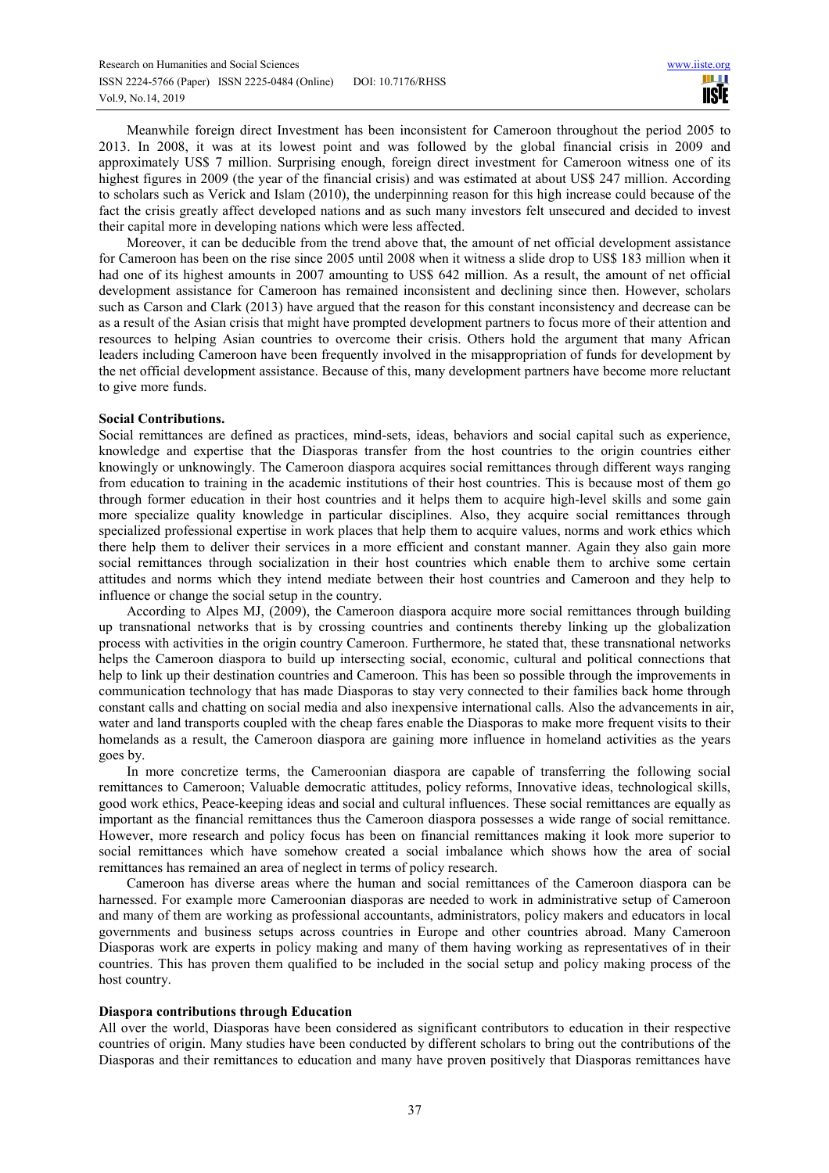Meanwhile foreign direct Investment has been inconsistent for Cameroon throughout the period 2005 to 2013. In 2008, it was at its lowest point and was followed by the global financial crisis in 2009 and approximately US\$ 7 million. Surprising enough, foreign direct investment for Cameroon witness one of its highest figures in 2009 (the year of the financial crisis) and was estimated at about US\$ 247 million. According to scholars such as Verick and Islam (2010), the underpinning reason for this high increase could because of the fact the crisis greatly affect developed nations and as such many investors felt unsecured and decided to invest their capital more in developing nations which were less affected.

Moreover, it can be deducible from the trend above that, the amount of net official development assistance for Cameroon has been on the rise since 2005 until 2008 when it witness a slide drop to US\$ 183 million when it had one of its highest amounts in 2007 amounting to US\$ 642 million. As a result, the amount of net official development assistance for Cameroon has remained inconsistent and declining since then. However, scholars such as Carson and Clark (2013) have argued that the reason for this constant inconsistency and decrease can be as a result of the Asian crisis that might have prompted development partners to focus more of their attention and resources to helping Asian countries to overcome their crisis. Others hold the argument that many African leaders including Cameroon have been frequently involved in the misappropriation of funds for development by the net official development assistance. Because of this, many development partners have become more reluctant to give more funds.

## **Social Contributions.**

Social remittances are defined as practices, mind-sets, ideas, behaviors and social capital such as experience, knowledge and expertise that the Diasporas transfer from the host countries to the origin countries either knowingly or unknowingly. The Cameroon diaspora acquires social remittances through different ways ranging from education to training in the academic institutions of their host countries. This is because most of them go through former education in their host countries and it helps them to acquire high-level skills and some gain more specialize quality knowledge in particular disciplines. Also, they acquire social remittances through specialized professional expertise in work places that help them to acquire values, norms and work ethics which there help them to deliver their services in a more efficient and constant manner. Again they also gain more social remittances through socialization in their host countries which enable them to archive some certain attitudes and norms which they intend mediate between their host countries and Cameroon and they help to influence or change the social setup in the country.

According to Alpes MJ, (2009), the Cameroon diaspora acquire more social remittances through building up transnational networks that is by crossing countries and continents thereby linking up the globalization process with activities in the origin country Cameroon. Furthermore, he stated that, these transnational networks helps the Cameroon diaspora to build up intersecting social, economic, cultural and political connections that help to link up their destination countries and Cameroon. This has been so possible through the improvements in communication technology that has made Diasporas to stay very connected to their families back home through constant calls and chatting on social media and also inexpensive international calls. Also the advancements in air, water and land transports coupled with the cheap fares enable the Diasporas to make more frequent visits to their homelands as a result, the Cameroon diaspora are gaining more influence in homeland activities as the years goes by.

In more concretize terms, the Cameroonian diaspora are capable of transferring the following social remittances to Cameroon; Valuable democratic attitudes, policy reforms, Innovative ideas, technological skills, good work ethics, Peace-keeping ideas and social and cultural influences. These social remittances are equally as important as the financial remittances thus the Cameroon diaspora possesses a wide range of social remittance. However, more research and policy focus has been on financial remittances making it look more superior to social remittances which have somehow created a social imbalance which shows how the area of social remittances has remained an area of neglect in terms of policy research.

Cameroon has diverse areas where the human and social remittances of the Cameroon diaspora can be harnessed. For example more Cameroonian diasporas are needed to work in administrative setup of Cameroon and many of them are working as professional accountants, administrators, policy makers and educators in local governments and business setups across countries in Europe and other countries abroad. Many Cameroon Diasporas work are experts in policy making and many of them having working as representatives of in their countries. This has proven them qualified to be included in the social setup and policy making process of the host country.

#### **Diaspora contributions through Education**

All over the world, Diasporas have been considered as significant contributors to education in their respective countries of origin. Many studies have been conducted by different scholars to bring out the contributions of the Diasporas and their remittances to education and many have proven positively that Diasporas remittances have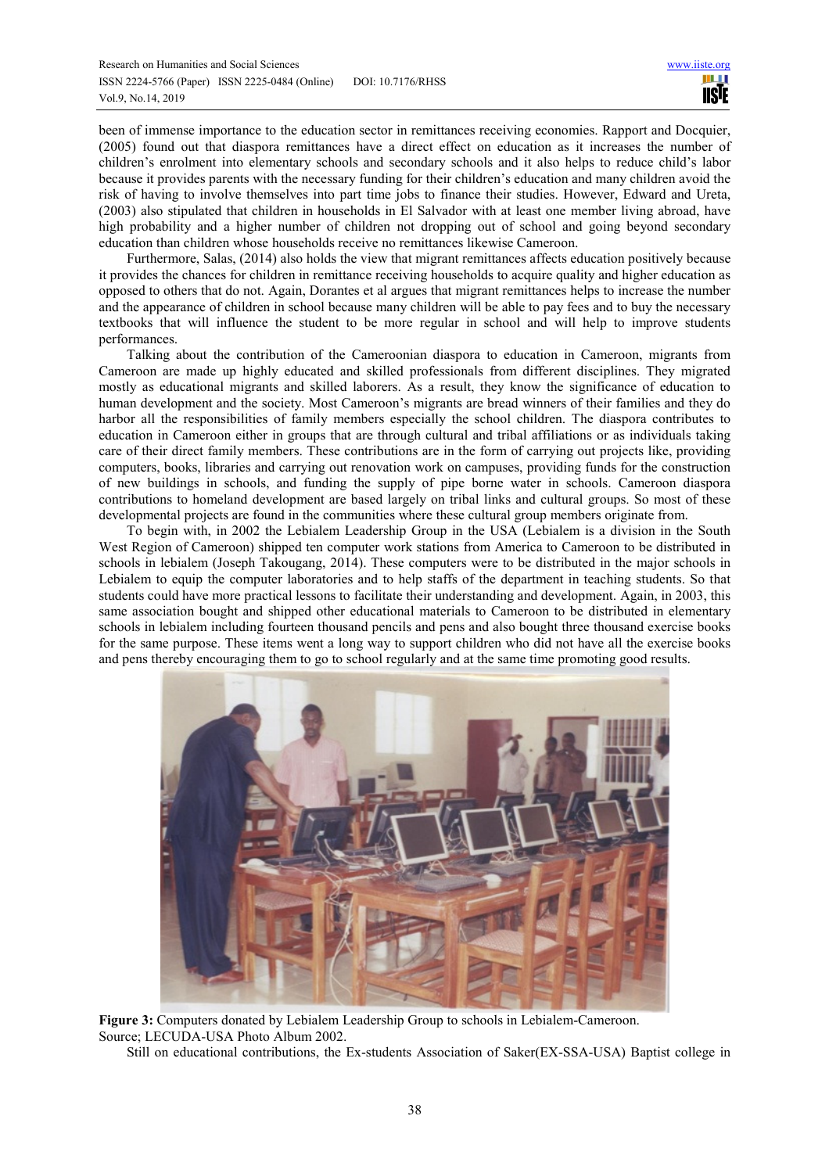been of immense importance to the education sector in remittances receiving economies. Rapport and Docquier, (2005) found out that diaspora remittances have a direct effect on education as it increases the number of children's enrolment into elementary schools and secondary schools and it also helps to reduce child's labor because it provides parents with the necessary funding for their children's education and many children avoid the risk of having to involve themselves into part time jobs to finance their studies. However, Edward and Ureta, (2003) also stipulated that children in households in El Salvador with at least one member living abroad, have high probability and a higher number of children not dropping out of school and going beyond secondary education than children whose households receive no remittances likewise Cameroon.

Furthermore, Salas, (2014) also holds the view that migrant remittances affects education positively because it provides the chances for children in remittance receiving households to acquire quality and higher education as opposed to others that do not. Again, Dorantes et al argues that migrant remittances helps to increase the number and the appearance of children in school because many children will be able to pay fees and to buy the necessary textbooks that will influence the student to be more regular in school and will help to improve students performances.

Talking about the contribution of the Cameroonian diaspora to education in Cameroon, migrants from Cameroon are made up highly educated and skilled professionals from different disciplines. They migrated mostly as educational migrants and skilled laborers. As a result, they know the significance of education to human development and the society. Most Cameroon's migrants are bread winners of their families and they do harbor all the responsibilities of family members especially the school children. The diaspora contributes to education in Cameroon either in groups that are through cultural and tribal affiliations or as individuals taking care of their direct family members. These contributions are in the form of carrying out projects like, providing computers, books, libraries and carrying out renovation work on campuses, providing funds for the construction of new buildings in schools, and funding the supply of pipe borne water in schools. Cameroon diaspora contributions to homeland development are based largely on tribal links and cultural groups. So most of these developmental projects are found in the communities where these cultural group members originate from.

To begin with, in 2002 the Lebialem Leadership Group in the USA (Lebialem is a division in the South West Region of Cameroon) shipped ten computer work stations from America to Cameroon to be distributed in schools in lebialem (Joseph Takougang, 2014). These computers were to be distributed in the major schools in Lebialem to equip the computer laboratories and to help staffs of the department in teaching students. So that students could have more practical lessons to facilitate their understanding and development. Again, in 2003, this same association bought and shipped other educational materials to Cameroon to be distributed in elementary schools in lebialem including fourteen thousand pencils and pens and also bought three thousand exercise books for the same purpose. These items went a long way to support children who did not have all the exercise books and pens thereby encouraging them to go to school regularly and at the same time promoting good results.



**Figure 3:** Computers donated by Lebialem Leadership Group to schools in Lebialem-Cameroon. Source; LECUDA-USA Photo Album 2002.

Still on educational contributions, the Ex-students Association of Saker(EX-SSA-USA) Baptist college in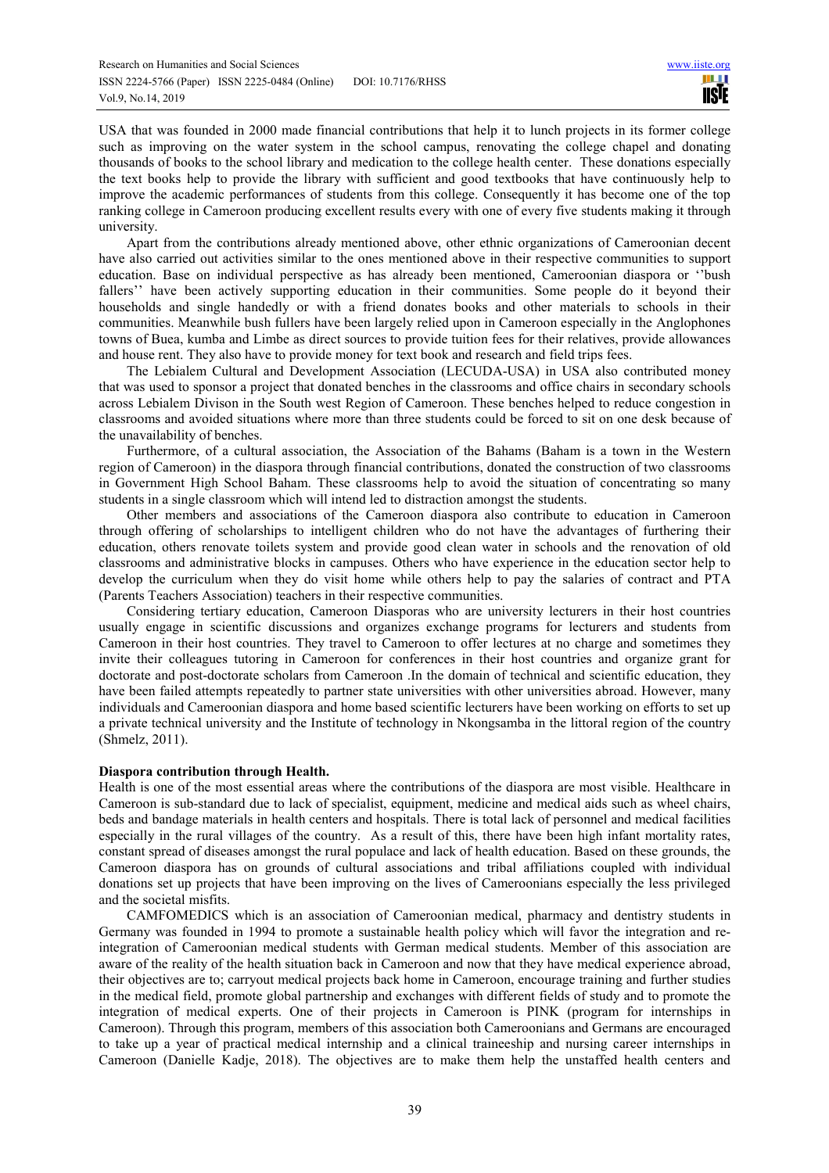USA that was founded in 2000 made financial contributions that help it to lunch projects in its former college such as improving on the water system in the school campus, renovating the college chapel and donating thousands of books to the school library and medication to the college health center. These donations especially the text books help to provide the library with sufficient and good textbooks that have continuously help to improve the academic performances of students from this college. Consequently it has become one of the top ranking college in Cameroon producing excellent results every with one of every five students making it through university.

Apart from the contributions already mentioned above, other ethnic organizations of Cameroonian decent have also carried out activities similar to the ones mentioned above in their respective communities to support education. Base on individual perspective as has already been mentioned, Cameroonian diaspora or ''bush fallers" have been actively supporting education in their communities. Some people do it beyond their households and single handedly or with a friend donates books and other materials to schools in their communities. Meanwhile bush fullers have been largely relied upon in Cameroon especially in the Anglophones towns of Buea, kumba and Limbe as direct sources to provide tuition fees for their relatives, provide allowances and house rent. They also have to provide money for text book and research and field trips fees.

The Lebialem Cultural and Development Association (LECUDA-USA) in USA also contributed money that was used to sponsor a project that donated benches in the classrooms and office chairs in secondary schools across Lebialem Divison in the South west Region of Cameroon. These benches helped to reduce congestion in classrooms and avoided situations where more than three students could be forced to sit on one desk because of the unavailability of benches.

Furthermore, of a cultural association, the Association of the Bahams (Baham is a town in the Western region of Cameroon) in the diaspora through financial contributions, donated the construction of two classrooms in Government High School Baham. These classrooms help to avoid the situation of concentrating so many students in a single classroom which will intend led to distraction amongst the students.

Other members and associations of the Cameroon diaspora also contribute to education in Cameroon through offering of scholarships to intelligent children who do not have the advantages of furthering their education, others renovate toilets system and provide good clean water in schools and the renovation of old classrooms and administrative blocks in campuses. Others who have experience in the education sector help to develop the curriculum when they do visit home while others help to pay the salaries of contract and PTA (Parents Teachers Association) teachers in their respective communities.

Considering tertiary education, Cameroon Diasporas who are university lecturers in their host countries usually engage in scientific discussions and organizes exchange programs for lecturers and students from Cameroon in their host countries. They travel to Cameroon to offer lectures at no charge and sometimes they invite their colleagues tutoring in Cameroon for conferences in their host countries and organize grant for doctorate and post-doctorate scholars from Cameroon .In the domain of technical and scientific education, they have been failed attempts repeatedly to partner state universities with other universities abroad. However, many individuals and Cameroonian diaspora and home based scientific lecturers have been working on efforts to set up a private technical university and the Institute of technology in Nkongsamba in the littoral region of the country (Shmelz, 2011).

# **Diaspora contribution through Health.**

Health is one of the most essential areas where the contributions of the diaspora are most visible. Healthcare in Cameroon is sub-standard due to lack of specialist, equipment, medicine and medical aids such as wheel chairs, beds and bandage materials in health centers and hospitals. There is total lack of personnel and medical facilities especially in the rural villages of the country. As a result of this, there have been high infant mortality rates, constant spread of diseases amongst the rural populace and lack of health education. Based on these grounds, the Cameroon diaspora has on grounds of cultural associations and tribal affiliations coupled with individual donations set up projects that have been improving on the lives of Cameroonians especially the less privileged and the societal misfits.

CAMFOMEDICS which is an association of Cameroonian medical, pharmacy and dentistry students in Germany was founded in 1994 to promote a sustainable health policy which will favor the integration and reintegration of Cameroonian medical students with German medical students. Member of this association are aware of the reality of the health situation back in Cameroon and now that they have medical experience abroad, their objectives are to; carryout medical projects back home in Cameroon, encourage training and further studies in the medical field, promote global partnership and exchanges with different fields of study and to promote the integration of medical experts. One of their projects in Cameroon is PINK (program for internships in Cameroon). Through this program, members of this association both Cameroonians and Germans are encouraged to take up a year of practical medical internship and a clinical traineeship and nursing career internships in Cameroon (Danielle Kadje, 2018). The objectives are to make them help the unstaffed health centers and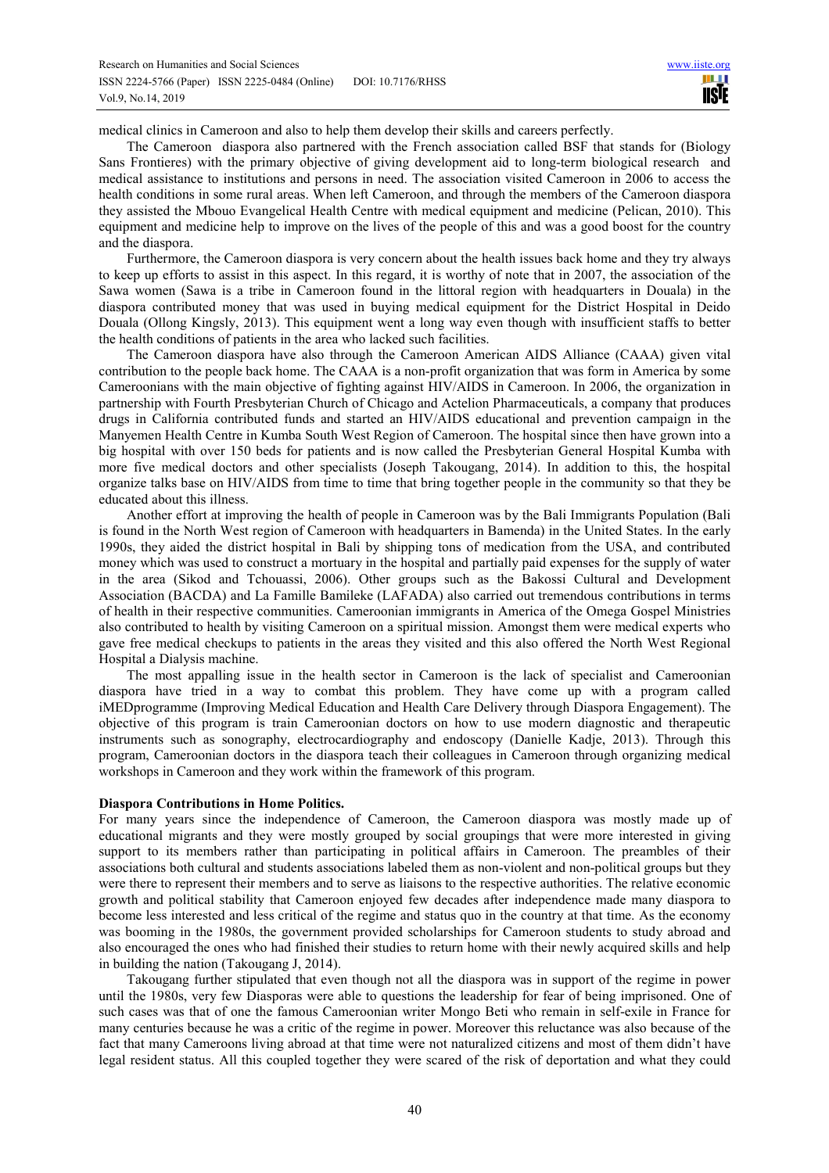medical clinics in Cameroon and also to help them develop their skills and careers perfectly.

The Cameroon diaspora also partnered with the French association called BSF that stands for (Biology Sans Frontieres) with the primary objective of giving development aid to long-term biological research and medical assistance to institutions and persons in need. The association visited Cameroon in 2006 to access the health conditions in some rural areas. When left Cameroon, and through the members of the Cameroon diaspora they assisted the Mbouo Evangelical Health Centre with medical equipment and medicine (Pelican, 2010). This equipment and medicine help to improve on the lives of the people of this and was a good boost for the country and the diaspora.

Furthermore, the Cameroon diaspora is very concern about the health issues back home and they try always to keep up efforts to assist in this aspect. In this regard, it is worthy of note that in 2007, the association of the Sawa women (Sawa is a tribe in Cameroon found in the littoral region with headquarters in Douala) in the diaspora contributed money that was used in buying medical equipment for the District Hospital in Deido Douala (Ollong Kingsly, 2013). This equipment went a long way even though with insufficient staffs to better the health conditions of patients in the area who lacked such facilities.

The Cameroon diaspora have also through the Cameroon American AIDS Alliance (CAAA) given vital contribution to the people back home. The CAAA is a non-profit organization that was form in America by some Cameroonians with the main objective of fighting against HIV/AIDS in Cameroon. In 2006, the organization in partnership with Fourth Presbyterian Church of Chicago and Actelion Pharmaceuticals, a company that produces drugs in California contributed funds and started an HIV/AIDS educational and prevention campaign in the Manyemen Health Centre in Kumba South West Region of Cameroon. The hospital since then have grown into a big hospital with over 150 beds for patients and is now called the Presbyterian General Hospital Kumba with more five medical doctors and other specialists (Joseph Takougang, 2014). In addition to this, the hospital organize talks base on HIV/AIDS from time to time that bring together people in the community so that they be educated about this illness.

Another effort at improving the health of people in Cameroon was by the Bali Immigrants Population (Bali is found in the North West region of Cameroon with headquarters in Bamenda) in the United States. In the early 1990s, they aided the district hospital in Bali by shipping tons of medication from the USA, and contributed money which was used to construct a mortuary in the hospital and partially paid expenses for the supply of water in the area (Sikod and Tchouassi, 2006). Other groups such as the Bakossi Cultural and Development Association (BACDA) and La Famille Bamileke (LAFADA) also carried out tremendous contributions in terms of health in their respective communities. Cameroonian immigrants in America of the Omega Gospel Ministries also contributed to health by visiting Cameroon on a spiritual mission. Amongst them were medical experts who gave free medical checkups to patients in the areas they visited and this also offered the North West Regional Hospital a Dialysis machine.

The most appalling issue in the health sector in Cameroon is the lack of specialist and Cameroonian diaspora have tried in a way to combat this problem. They have come up with a program called iMEDprogramme (Improving Medical Education and Health Care Delivery through Diaspora Engagement). The objective of this program is train Cameroonian doctors on how to use modern diagnostic and therapeutic instruments such as sonography, electrocardiography and endoscopy (Danielle Kadje, 2013). Through this program, Cameroonian doctors in the diaspora teach their colleagues in Cameroon through organizing medical workshops in Cameroon and they work within the framework of this program.

#### **Diaspora Contributions in Home Politics.**

For many years since the independence of Cameroon, the Cameroon diaspora was mostly made up of educational migrants and they were mostly grouped by social groupings that were more interested in giving support to its members rather than participating in political affairs in Cameroon. The preambles of their associations both cultural and students associations labeled them as non-violent and non-political groups but they were there to represent their members and to serve as liaisons to the respective authorities. The relative economic growth and political stability that Cameroon enjoyed few decades after independence made many diaspora to become less interested and less critical of the regime and status quo in the country at that time. As the economy was booming in the 1980s, the government provided scholarships for Cameroon students to study abroad and also encouraged the ones who had finished their studies to return home with their newly acquired skills and help in building the nation (Takougang J, 2014).

Takougang further stipulated that even though not all the diaspora was in support of the regime in power until the 1980s, very few Diasporas were able to questions the leadership for fear of being imprisoned. One of such cases was that of one the famous Cameroonian writer Mongo Beti who remain in self-exile in France for many centuries because he was a critic of the regime in power. Moreover this reluctance was also because of the fact that many Cameroons living abroad at that time were not naturalized citizens and most of them didn't have legal resident status. All this coupled together they were scared of the risk of deportation and what they could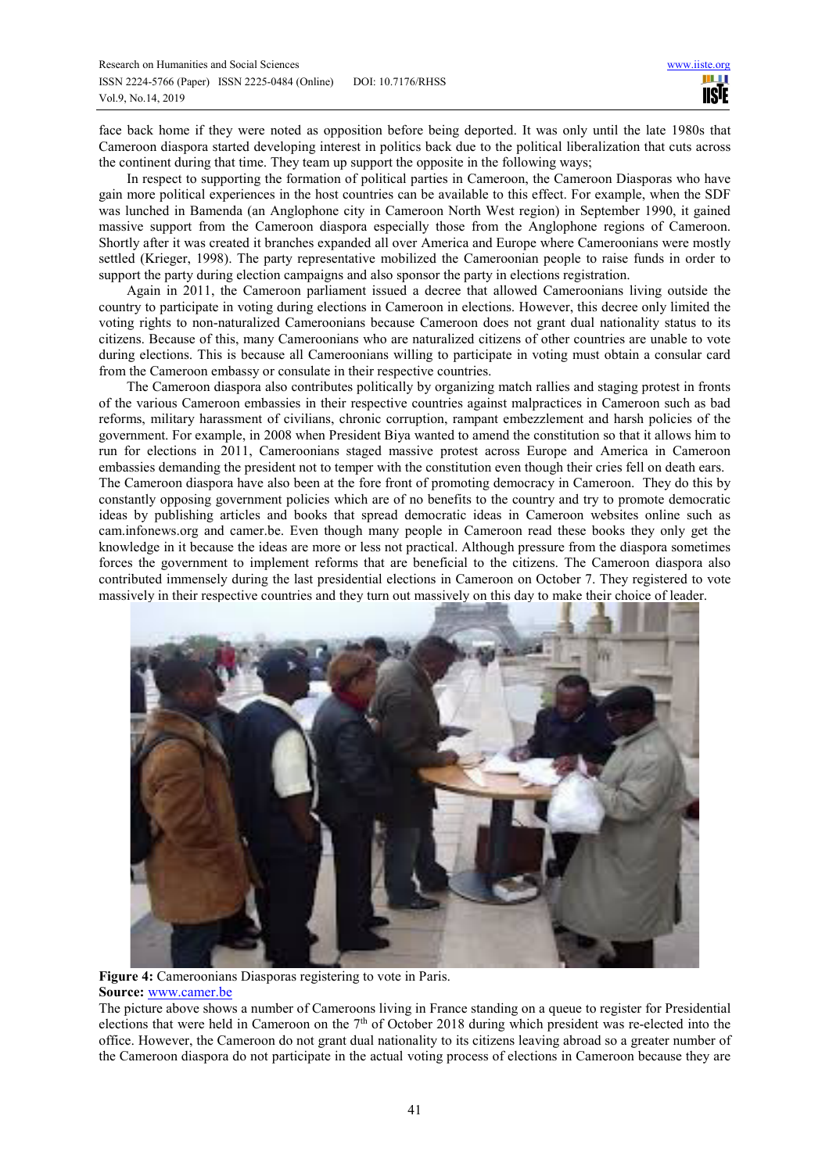face back home if they were noted as opposition before being deported. It was only until the late 1980s that Cameroon diaspora started developing interest in politics back due to the political liberalization that cuts across the continent during that time. They team up support the opposite in the following ways;

In respect to supporting the formation of political parties in Cameroon, the Cameroon Diasporas who have gain more political experiences in the host countries can be available to this effect. For example, when the SDF was lunched in Bamenda (an Anglophone city in Cameroon North West region) in September 1990, it gained massive support from the Cameroon diaspora especially those from the Anglophone regions of Cameroon. Shortly after it was created it branches expanded all over America and Europe where Cameroonians were mostly settled (Krieger, 1998). The party representative mobilized the Cameroonian people to raise funds in order to support the party during election campaigns and also sponsor the party in elections registration.

Again in 2011, the Cameroon parliament issued a decree that allowed Cameroonians living outside the country to participate in voting during elections in Cameroon in elections. However, this decree only limited the voting rights to non-naturalized Cameroonians because Cameroon does not grant dual nationality status to its citizens. Because of this, many Cameroonians who are naturalized citizens of other countries are unable to vote during elections. This is because all Cameroonians willing to participate in voting must obtain a consular card from the Cameroon embassy or consulate in their respective countries.

The Cameroon diaspora also contributes politically by organizing match rallies and staging protest in fronts of the various Cameroon embassies in their respective countries against malpractices in Cameroon such as bad reforms, military harassment of civilians, chronic corruption, rampant embezzlement and harsh policies of the government. For example, in 2008 when President Biya wanted to amend the constitution so that it allows him to run for elections in 2011, Cameroonians staged massive protest across Europe and America in Cameroon embassies demanding the president not to temper with the constitution even though their cries fell on death ears. The Cameroon diaspora have also been at the fore front of promoting democracy in Cameroon. They do this by constantly opposing government policies which are of no benefits to the country and try to promote democratic ideas by publishing articles and books that spread democratic ideas in Cameroon websites online such as cam.infonews.org and camer.be. Even though many people in Cameroon read these books they only get the knowledge in it because the ideas are more or less not practical. Although pressure from the diaspora sometimes forces the government to implement reforms that are beneficial to the citizens. The Cameroon diaspora also contributed immensely during the last presidential elections in Cameroon on October 7. They registered to vote massively in their respective countries and they turn out massively on this day to make their choice of leader.



**Figure 4:** Cameroonians Diasporas registering to vote in Paris. **Source:** www.camer.be

The picture above shows a number of Cameroons living in France standing on a queue to register for Presidential elections that were held in Cameroon on the 7th of October 2018 during which president was re-elected into the office. However, the Cameroon do not grant dual nationality to its citizens leaving abroad so a greater number of the Cameroon diaspora do not participate in the actual voting process of elections in Cameroon because they are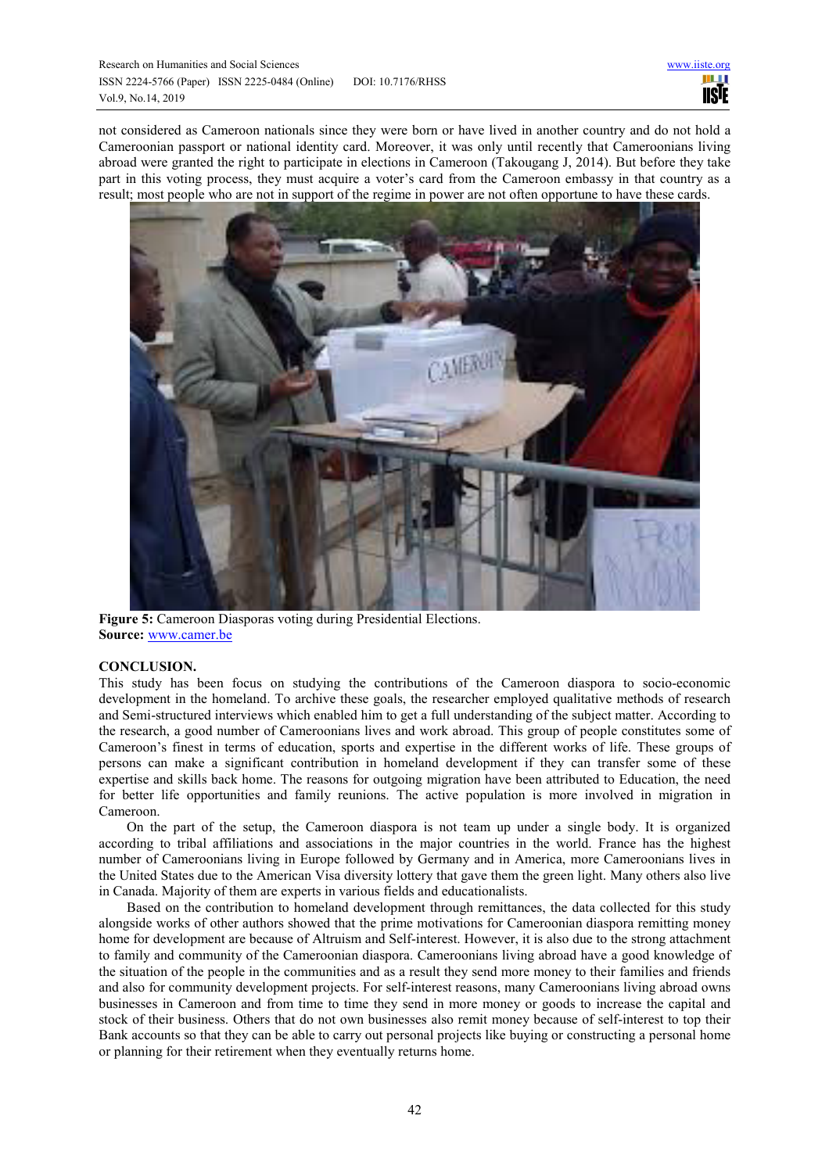not considered as Cameroon nationals since they were born or have lived in another country and do not hold a Cameroonian passport or national identity card. Moreover, it was only until recently that Cameroonians living abroad were granted the right to participate in elections in Cameroon (Takougang J, 2014). But before they take part in this voting process, they must acquire a voter's card from the Cameroon embassy in that country as a result; most people who are not in support of the regime in power are not often opportune to have these cards.



**Figure 5:** Cameroon Diasporas voting during Presidential Elections. **Source:** www.camer.be

# **CONCLUSION.**

This study has been focus on studying the contributions of the Cameroon diaspora to socio-economic development in the homeland. To archive these goals, the researcher employed qualitative methods of research and Semi-structured interviews which enabled him to get a full understanding of the subject matter. According to the research, a good number of Cameroonians lives and work abroad. This group of people constitutes some of Cameroon's finest in terms of education, sports and expertise in the different works of life. These groups of persons can make a significant contribution in homeland development if they can transfer some of these expertise and skills back home. The reasons for outgoing migration have been attributed to Education, the need for better life opportunities and family reunions. The active population is more involved in migration in Cameroon.

On the part of the setup, the Cameroon diaspora is not team up under a single body. It is organized according to tribal affiliations and associations in the major countries in the world. France has the highest number of Cameroonians living in Europe followed by Germany and in America, more Cameroonians lives in the United States due to the American Visa diversity lottery that gave them the green light. Many others also live in Canada. Majority of them are experts in various fields and educationalists.

Based on the contribution to homeland development through remittances, the data collected for this study alongside works of other authors showed that the prime motivations for Cameroonian diaspora remitting money home for development are because of Altruism and Self-interest. However, it is also due to the strong attachment to family and community of the Cameroonian diaspora. Cameroonians living abroad have a good knowledge of the situation of the people in the communities and as a result they send more money to their families and friends and also for community development projects. For self-interest reasons, many Cameroonians living abroad owns businesses in Cameroon and from time to time they send in more money or goods to increase the capital and stock of their business. Others that do not own businesses also remit money because of self-interest to top their Bank accounts so that they can be able to carry out personal projects like buying or constructing a personal home or planning for their retirement when they eventually returns home.